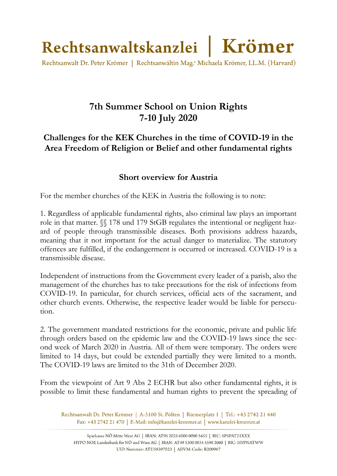

Rechtsanwalt Dr. Peter Krömer | Rechtsanwältin Mag.<sup>a</sup> Michaela Krömer, LL.M. (Harvard)

## **7th Summer School on Union Rights 7-10 July 2020**

## **Challenges for the KEK Churches in the time of COVID-19 in the Area Freedom of Religion or Belief and other fundamental rights**

## **Short overview for Austria**

For the member churches of the KEK in Austria the following is to note:

1. Regardless of applicable fundamental rights, also criminal law plays an important role in that matter. §§ 178 und 179 StGB regulates the intentional or negligent hazard of people through transmissible diseases. Both provisions address hazards, meaning that it not important for the actual danger to materialize. The statutory offences are fulfilled, if the endangerment is occurred or increased. COVID-19 is a transmissible disease.

Independent of instructions from the Government every leader of a parish, also the management of the churches has to take precautions for the risk of infections from COVID-19. In particular, for church services, official acts of the sacrament, and other church events. Otherwise, the respective leader would be liable for persecution.

2. The government mandated restrictions for the economic, private and public life through orders based on the epidemic law and the COVID-19 laws since the second week of March 2020 in Austria. All of them were temporary. The orders were limited to 14 days, but could be extended partially they were limited to a month. The COVID-19 laws are limited to the 31th of December 2020.

From the viewpoint of Art 9 Abs 2 ECHR but also other fundamental rights, it is possible to limit these fundamental and human rights to prevent the spreading of

Rechtsanwalt Dr. Peter Krömer | A-3100 St. Pölten | Riemerplatz 1 | Tel.: +43 2742 21 440 Fax: +43 2742 21 470 | E-Mail: info@kanzlei-kroemer.at | www.kanzlei-kroemer.at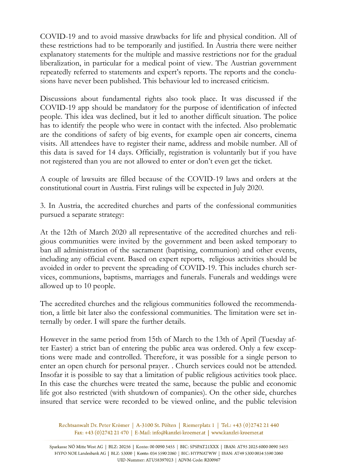COVID-19 and to avoid massive drawbacks for life and physical condition. All of these restrictions had to be temporarily and justified. In Austria there were neither explanatory statements for the multiple and massive restrictions nor for the gradual liberalization, in particular for a medical point of view. The Austrian government repeatedly referred to statements and expert's reports. The reports and the conclusions have never been published. This behaviour led to increased criticism.

Discussions about fundamental rights also took place. It was discussed if the COVID-19 app should be mandatory for the purpose of identification of infected people. This idea was declined, but it led to another difficult situation. The police has to identify the people who were in contact with the infected. Also problematic are the conditions of safety of big events, for example open air concerts, cinema visits. All attendees have to register their name, address and mobile number. All of this data is saved for 14 days. Officially, registration is voluntarily but if you have not registered than you are not allowed to enter or don't even get the ticket.

A couple of lawsuits are filled because of the COVID-19 laws and orders at the constitutional court in Austria. First rulings will be expected in July 2020.

3. In Austria, the accredited churches and parts of the confessional communities pursued a separate strategy:

At the 12th of March 2020 all representative of the accredited churches and religious communities were invited by the government and been asked temporary to ban all administration of the sacrament (baptising, communion) and other events, including any official event. Based on expert reports, religious activities should be avoided in order to prevent the spreading of COVID-19. This includes church services, communions, baptisms, marriages and funerals. Funerals and weddings were allowed up to 10 people.

The accredited churches and the religious communities followed the recommendation, a little bit later also the confessional communities. The limitation were set internally by order. I will spare the further details.

However in the same period from 15th of March to the 13th of April (Tuesday after Easter) a strict ban of entering the public area was ordered. Only a few exceptions were made and controlled. Therefore, it was possible for a single person to enter an open church for personal prayer. . Church services could not be attended. Insofar it is possible to say that a limitation of public religious activities took place. In this case the churches were treated the same, because the public and economic life got also restricted (with shutdown of companies). On the other side, churches insured that service were recorded to be viewed online, and the public television

Rechtsanwalt Dr. Peter Krömer | A-3100 St. Pölten | Riemerplatz 1 | Tel.: +43 (0)2742 21 440 Fax: +43 (0)2742 21 470 | E-Mail: info@kanzlei-kroemer.at | www.kanzlei-kroemer.at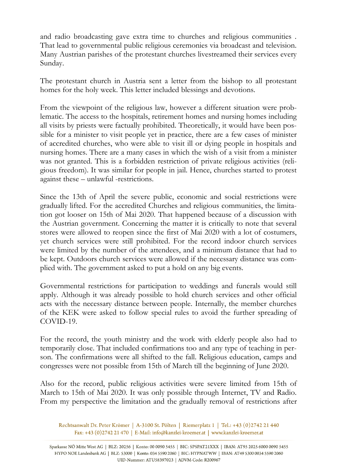and radio broadcasting gave extra time to churches and religious communities . That lead to governmental public religious ceremonies via broadcast and television. Many Austrian parishes of the protestant churches livestreamed their services every Sunday.

The protestant church in Austria sent a letter from the bishop to all protestant homes for the holy week. This letter included blessings and devotions.

From the viewpoint of the religious law, however a different situation were problematic. The access to the hospitals, retirement homes and nursing homes including all visits by priests were factually prohibited. Theoretically, it would have been possible for a minister to visit people yet in practice, there are a few cases of minister of accredited churches, who were able to visit ill or dying people in hospitals and nursing homes. There are a many cases in which the wish of a visit from a minister was not granted. This is a forbidden restriction of private religious activities (religious freedom). It was similar for people in jail. Hence, churches started to protest against these – unlawful -restrictions.

Since the 13th of April the severe public, economic and social restrictions were gradually lifted. For the accredited Churches and religious communities, the limitation got looser on 15th of Mai 2020. That happened because of a discussion with the Austrian government. Concerning the matter it is critically to note that several stores were allowed to reopen since the first of Mai 2020 with a lot of costumers, yet church services were still prohibited. For the record indoor church services were limited by the number of the attendees, and a minimum distance that had to be kept. Outdoors church services were allowed if the necessary distance was complied with. The government asked to put a hold on any big events.

Governmental restrictions for participation to weddings and funerals would still apply. Although it was already possible to hold church services and other official acts with the necessary distance between people. Internally, the member churches of the KEK were asked to follow special rules to avoid the further spreading of COVID-19.

For the record, the youth ministry and the work with elderly people also had to temporarily close. That included confirmations too and any type of teaching in person. The confirmations were all shifted to the fall. Religious education, camps and congresses were not possible from 15th of March till the beginning of June 2020.

Also for the record, public religious activities were severe limited from 15th of March to 15th of Mai 2020. It was only possible through Internet, TV and Radio. From my perspective the limitation and the gradually removal of restrictions after

Rechtsanwalt Dr. Peter Krömer | A-3100 St. Pölten | Riemerplatz 1 | Tel.: +43 (0)2742 21 440 Fax: +43 (0)2742 21 470 | E-Mail: info@kanzlei-kroemer.at | www.kanzlei-kroemer.at

Sparkasse NÖ Mitte West AG | BLZ: 20256 | Konto: 00 0090 5455 | BIC: SPSPAT21XXX | IBAN: AT95 2025 6000 0090 5455 HYPO NOE Landesbank AG | BLZ: 53000 | Konto: 034 5590 2060 | BIC: HYPNATWW | IBAN: AT49 5300 0034 5590 2060 UID-Nummer: ATU58397023 | ADVM-Code: R200967